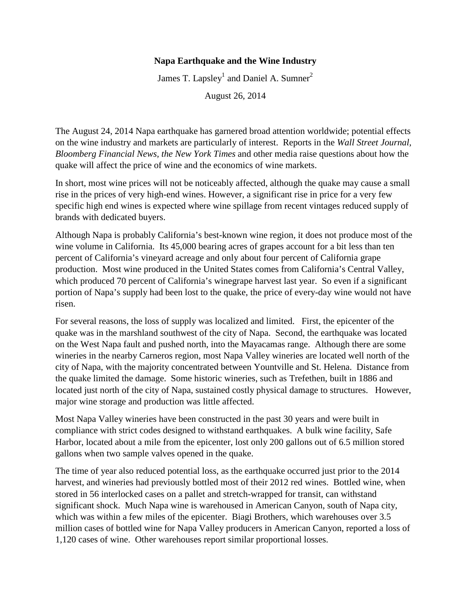## **Napa Earthquake and the Wine Industry**

James T. Lapsley<sup>1</sup> and Daniel A. Sumner<sup>2</sup>

August 26, 2014

The August 24, 2014 Napa earthquake has garnered broad attention worldwide; potential effects on the wine industry and markets are particularly of interest. Reports in the *Wall Street Journal, Bloomberg Financial News, the New York Times* and other media raise questions about how the quake will affect the price of wine and the economics of wine markets.

In short, most wine prices will not be noticeably affected, although the quake may cause a small rise in the prices of very high-end wines. However, a significant rise in price for a very few specific high end wines is expected where wine spillage from recent vintages reduced supply of brands with dedicated buyers.

Although Napa is probably California's best-known wine region, it does not produce most of the wine volume in California. Its 45,000 bearing acres of grapes account for a bit less than ten percent of California's vineyard acreage and only about four percent of California grape production. Most wine produced in the United States comes from California's Central Valley, which produced 70 percent of California's winegrape harvest last year. So even if a significant portion of Napa's supply had been lost to the quake, the price of every-day wine would not have risen.

For several reasons, the loss of supply was localized and limited. First, the epicenter of the quake was in the marshland southwest of the city of Napa. Second, the earthquake was located on the West Napa fault and pushed north, into the Mayacamas range. Although there are some wineries in the nearby Carneros region, most Napa Valley wineries are located well north of the city of Napa, with the majority concentrated between Yountville and St. Helena. Distance from the quake limited the damage. Some historic wineries, such as Trefethen, built in 1886 and located just north of the city of Napa, sustained costly physical damage to structures. However, major wine storage and production was little affected.

Most Napa Valley wineries have been constructed in the past 30 years and were built in compliance with strict codes designed to withstand earthquakes. A bulk wine facility, Safe Harbor, located about a mile from the epicenter, lost only 200 gallons out of 6.5 million stored gallons when two sample valves opened in the quake.

The time of year also reduced potential loss, as the earthquake occurred just prior to the 2014 harvest, and wineries had previously bottled most of their 2012 red wines. Bottled wine, when stored in 56 interlocked cases on a pallet and stretch-wrapped for transit, can withstand significant shock. Much Napa wine is warehoused in American Canyon, south of Napa city, which was within a few miles of the epicenter. Biagi Brothers, which warehouses over 3.5 million cases of bottled wine for Napa Valley producers in American Canyon, reported a loss of 1,120 cases of wine. Other warehouses report similar proportional losses.